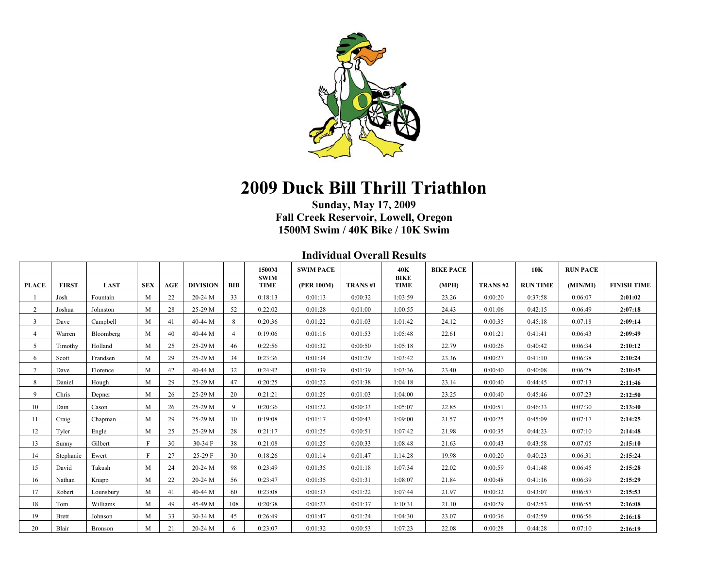

## **2009 Duck Bill Thrill Triathlon**

## **Sunday, May 17, 2009 Fall Creek Reservoir, Lowell, Oregon 1500M Swim / 40K Bike / 10K Swim**

**Individual Overall Results** 

|                |              |             |              |     |                 |                | 1500M                      | <b>SWIM PACE</b> |         | 40K                        | <b>BIKE PACE</b> |         | 10K             | <b>RUN PACE</b> |                    |
|----------------|--------------|-------------|--------------|-----|-----------------|----------------|----------------------------|------------------|---------|----------------------------|------------------|---------|-----------------|-----------------|--------------------|
| <b>PLACE</b>   | <b>FIRST</b> | <b>LAST</b> | <b>SEX</b>   | AGE | <b>DIVISION</b> | <b>BIB</b>     | <b>SWIM</b><br><b>TIME</b> | (PER 100M)       | TRANS#1 | <b>BIKE</b><br><b>TIME</b> | (MPH)            | TRANS#2 | <b>RUN TIME</b> | (MIN/MI)        | <b>FINISH TIME</b> |
|                | Josh         | Fountain    | M            | 22  | 20-24 M         | 33             | 0:18:13                    | 0:01:13          | 0:00:32 | 1:03:59                    | 23.26            | 0:00:20 | 0:37:58         | 0:06:07         | 2:01:02            |
| 2              | Joshua       | Johnston    | M            | 28  | 25-29 M         | 52             | 0:22:02                    | 0:01:28          | 0:01:00 | 1:00:55                    | 24.43            | 0:01:06 | 0:42:15         | 0:06:49         | 2:07:18            |
| 3              | Dave         | Campbell    | M            | 41  | 40-44 M         | 8              | 0:20:36                    | 0:01:22          | 0:01:03 | 1:01:42                    | 24.12            | 0:00:35 | 0:45:18         | 0:07:18         | 2:09:14            |
| $\overline{4}$ | Warren       | Bloomberg   | M            | 40  | 40-44 M         | $\overline{4}$ | 0:19:06                    | 0:01:16          | 0:01:53 | 1:05:48                    | 22.61            | 0:01:21 | 0:41:41         | 0:06:43         | 2:09:49            |
| 5              | Timothy      | Holland     | M            | 25  | 25-29 M         | 46             | 0:22:56                    | 0:01:32          | 0:00:50 | 1:05:18                    | 22.79            | 0:00:26 | 0:40:42         | 0:06:34         | 2:10:12            |
| 6              | Scott        | Frandsen    | M            | 29  | 25-29 M         | 34             | 0:23:36                    | 0:01:34          | 0:01:29 | 1:03:42                    | 23.36            | 0:00:27 | 0:41:10         | 0:06:38         | 2:10:24            |
| $\tau$         | Dave         | Florence    | M            | 42  | 40-44 M         | 32             | 0:24:42                    | 0:01:39          | 0:01:39 | 1:03:36                    | 23.40            | 0:00:40 | 0:40:08         | 0:06:28         | 2:10:45            |
| 8              | Daniel       | Hough       | M            | 29  | 25-29 M         | 47             | 0:20:25                    | 0:01:22          | 0:01:38 | 1:04:18                    | 23.14            | 0:00:40 | 0:44:45         | 0:07:13         | 2:11:46            |
| 9              | Chris        | Depner      | M            | 26  | 25-29 M         | 20             | 0:21:21                    | 0:01:25          | 0:01:03 | 1:04:00                    | 23.25            | 0:00:40 | 0:45:46         | 0:07:23         | 2:12:50            |
| 10             | Dain         | Cason       | M            | 26  | 25-29 M         | 9              | 0:20:36                    | 0:01:22          | 0:00:33 | 1:05:07                    | 22.85            | 0:00:51 | 0:46:33         | 0:07:30         | 2:13:40            |
| 11             | Craig        | Chapman     | M            | 29  | 25-29 M         | 10             | 0:19:08                    | 0:01:17          | 0:00:43 | 1:09:00                    | 21.57            | 0:00:25 | 0:45:09         | 0:07:17         | 2:14:25            |
| 12             | Tyler        | Engle       | M            | 25  | 25-29 M         | 28             | 0:21:17                    | 0:01:25          | 0:00:51 | 1:07:42                    | 21.98            | 0:00:35 | 0:44:23         | 0:07:10         | 2:14:48            |
| 13             | Sunny        | Gilbert     | $\mathbf{F}$ | 30  | 30-34 F         | 38             | 0:21:08                    | 0:01:25          | 0:00:33 | 1:08:48                    | 21.63            | 0:00:43 | 0:43:58         | 0:07:05         | 2:15:10            |
| 14             | Stephanie    | Ewert       | $\mathbf{F}$ | 27  | 25-29 F         | 30             | 0:18:26                    | 0:01:14          | 0:01:47 | 1:14:28                    | 19.98            | 0:00:20 | 0:40:23         | 0:06:31         | 2:15:24            |
| 15             | David        | Takush      | M            | 24  | 20-24 M         | 98             | 0:23:49                    | 0:01:35          | 0:01:18 | 1:07:34                    | 22.02            | 0:00:59 | 0:41:48         | 0:06:45         | 2:15:28            |
| 16             | Nathan       | Knapp       | M            | 22  | 20-24 M         | 56             | 0:23:47                    | 0:01:35          | 0:01:31 | 1:08:07                    | 21.84            | 0:00:48 | 0:41:16         | 0:06:39         | 2:15:29            |
| 17             | Robert       | Lounsbury   | M            | 41  | 40-44 M         | 60             | 0:23:08                    | 0:01:33          | 0:01:22 | 1:07:44                    | 21.97            | 0:00:32 | 0:43:07         | 0:06:57         | 2:15:53            |
| 18             | Tom          | Williams    | M            | 49  | 45-49 M         | 108            | 0:20:38                    | 0:01:23          | 0:01:37 | 1:10:31                    | 21.10            | 0:00:29 | 0:42:53         | 0:06:55         | 2:16:08            |
| 19             | <b>Brett</b> | Johnson     | M            | 33  | 30-34 M         | 45             | 0:26:49                    | 0:01:47          | 0:01:24 | 1:04:30                    | 23.07            | 0:00:36 | 0:42:59         | 0:06:56         | 2:16:18            |
| 20             | Blair        | Bronson     | M            | 21  | 20-24 M         | 6              | 0:23:07                    | 0:01:32          | 0:00:53 | 1:07:23                    | 22.08            | 0:00:28 | 0:44:28         | 0:07:10         | 2:16:19            |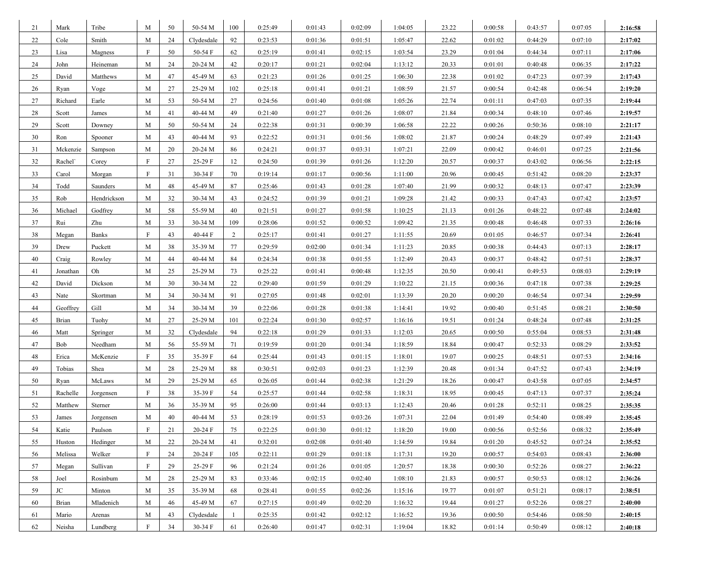| 21 | Mark     | Tribe        | M            | 50 | 50-54 M    | 100            | 0:25:49 | 0:01:43 | 0:02:09 | 1:04:05 | 23.22 | 0:00:58 | 0:43:57 | 0:07:05 | 2:16:58 |
|----|----------|--------------|--------------|----|------------|----------------|---------|---------|---------|---------|-------|---------|---------|---------|---------|
| 22 | Cole     | Smith        | M            | 24 | Clydesdale | 92             | 0:23:53 | 0:01:36 | 0:01:51 | 1:05:47 | 22.62 | 0:01:02 | 0:44:29 | 0:07:10 | 2:17:02 |
| 23 | Lisa     | Magness      | F            | 50 | 50-54 F    | 62             | 0:25:19 | 0:01:41 | 0:02:15 | 1:03:54 | 23.29 | 0:01:04 | 0:44:34 | 0:07:11 | 2:17:06 |
| 24 | John     | Heineman     | M            | 24 | 20-24 M    | 42             | 0:20:17 | 0:01:21 | 0:02:04 | 1:13:12 | 20.33 | 0:01:01 | 0:40:48 | 0:06:35 | 2:17:22 |
| 25 | David    | Matthews     | M            | 47 | 45-49 M    | 63             | 0:21:23 | 0:01:26 | 0:01:25 | 1:06:30 | 22.38 | 0:01:02 | 0:47:23 | 0:07:39 | 2:17:43 |
| 26 | Ryan     | Voge         | M            | 27 | 25-29 M    | 102            | 0:25:18 | 0:01:41 | 0:01:21 | 1:08:59 | 21.57 | 0:00:54 | 0:42:48 | 0:06:54 | 2:19:20 |
| 27 | Richard  | Earle        | M            | 53 | 50-54 M    | 27             | 0:24:56 | 0:01:40 | 0:01:08 | 1:05:26 | 22.74 | 0:01:11 | 0:47:03 | 0:07:35 | 2:19:44 |
| 28 | Scott    | James        | M            | 41 | 40-44 M    | 49             | 0:21:40 | 0:01:27 | 0:01:26 | 1:08:07 | 21.84 | 0:00:34 | 0:48:10 | 0:07:46 | 2:19:57 |
| 29 | Scott    | Downey       | M            | 50 | 50-54 M    | 24             | 0:22:38 | 0:01:31 | 0:00:39 | 1:06:58 | 22.22 | 0:00:26 | 0:50:36 | 0:08:10 | 2:21:17 |
| 30 | Ron      | Spooner      | M            | 43 | 40-44 M    | 93             | 0:22:52 | 0:01:31 | 0:01:56 | 1:08:02 | 21.87 | 0:00:24 | 0:48:29 | 0:07:49 | 2:21:43 |
| 31 | Mckenzie | Sampson      | M            | 20 | 20-24 M    | 86             | 0:24:21 | 0:01:37 | 0:03:31 | 1:07:21 | 22.09 | 0:00:42 | 0:46:01 | 0:07:25 | 2:21:56 |
| 32 | Rachel'  | Corey        | $\mathbf F$  | 27 | 25-29 F    | 12             | 0:24:50 | 0:01:39 | 0:01:26 | 1:12:20 | 20.57 | 0:00:37 | 0:43:02 | 0:06:56 | 2:22:15 |
| 33 | Carol    | Morgan       | F            | 31 | 30-34 F    | 70             | 0:19:14 | 0:01:17 | 0:00:56 | 1:11:00 | 20.96 | 0:00:45 | 0:51:42 | 0:08:20 | 2:23:37 |
| 34 | Todd     | Saunders     | M            | 48 | 45-49 M    | 87             | 0:25:46 | 0:01:43 | 0:01:28 | 1:07:40 | 21.99 | 0:00:32 | 0:48:13 | 0:07:47 | 2:23:39 |
| 35 | Rob      | Hendrickson  | M            | 32 | 30-34 M    | 43             | 0:24:52 | 0:01:39 | 0:01:21 | 1:09:28 | 21.42 | 0:00:33 | 0:47:43 | 0:07:42 | 2:23:57 |
| 36 | Michael  | Godfrey      | M            | 58 | 55-59 M    | 40             | 0:21:51 | 0:01:27 | 0:01:58 | 1:10:25 | 21.13 | 0:01:26 | 0:48:22 | 0:07:48 | 2:24:02 |
| 37 | Rui      | Zhu          | M            | 33 | 30-34 M    | 109            | 0:28:06 | 0:01:52 | 0:00:52 | 1:09:42 | 21.35 | 0:00:48 | 0:46:48 | 0:07:33 | 2:26:16 |
| 38 | Megan    | <b>Banks</b> | F            | 43 | 40-44 F    | 2              | 0:25:17 | 0:01:41 | 0:01:27 | 1:11:55 | 20.69 | 0:01:05 | 0:46:57 | 0:07:34 | 2:26:41 |
| 39 | Drew     | Puckett      | M            | 38 | 35-39 M    | 77             | 0:29:59 | 0:02:00 | 0:01:34 | 1:11:23 | 20.85 | 0:00:38 | 0:44:43 | 0:07:13 | 2:28:17 |
| 40 | Craig    | Rowley       | M            | 44 | 40-44 M    | 84             | 0:24:34 | 0:01:38 | 0:01:55 | 1:12:49 | 20.43 | 0:00:37 | 0:48:42 | 0:07:51 | 2:28:37 |
| 41 | Jonathan | Oh           | M            | 25 | 25-29 M    | 73             | 0:25:22 | 0:01:41 | 0:00:48 | 1:12:35 | 20.50 | 0:00:41 | 0:49:53 | 0:08:03 | 2:29:19 |
| 42 | David    | Dickson      | M            | 30 | 30-34 M    | 22             | 0:29:40 | 0:01:59 | 0:01:29 | 1:10:22 | 21.15 | 0:00:36 | 0:47:18 | 0:07:38 | 2:29:25 |
| 43 | Nate     | Skortman     | M            | 34 | 30-34 M    | 91             | 0:27:05 | 0:01:48 | 0:02:01 | 1:13:39 | 20.20 | 0:00:20 | 0:46:54 | 0:07:34 | 2:29:59 |
| 44 | Geoffrey | Gill         | M            | 34 | $30-34$ M  | 39             | 0:22:06 | 0:01:28 | 0:01:38 | 1:14:41 | 19.92 | 0:00:40 | 0:51:45 | 0:08:21 | 2:30:50 |
| 45 | Brian    | Tuohy        | M            | 27 | 25-29 M    | 101            | 0:22:24 | 0:01:30 | 0:02:57 | 1:16:16 | 19.51 | 0:01:24 | 0:48:24 | 0:07:48 | 2:31:25 |
| 46 | Matt     | Springer     | M            | 32 | Clydesdale | 94             | 0:22:18 | 0:01:29 | 0:01:33 | 1:12:03 | 20.65 | 0:00:50 | 0:55:04 | 0:08:53 | 2:31:48 |
| 47 | Bob      | Needham      | M            | 56 | 55-59 M    | 71             | 0:19:59 | 0:01:20 | 0:01:34 | 1:18:59 | 18.84 | 0:00:47 | 0:52:33 | 0:08:29 | 2:33:52 |
| 48 | Erica    | McKenzie     | F            | 35 | 35-39 F    | 64             | 0:25:44 | 0:01:43 | 0:01:15 | 1:18:01 | 19.07 | 0:00:25 | 0:48:51 | 0:07:53 | 2:34:16 |
| 49 | Tobias   | Shea         | M            | 28 | 25-29 M    | 88             | 0:30:51 | 0:02:03 | 0:01:23 | 1:12:39 | 20.48 | 0:01:34 | 0:47:52 | 0:07:43 | 2:34:19 |
| 50 | Ryan     | McLaws       | M            | 29 | 25-29 M    | 65             | 0:26:05 | 0:01:44 | 0:02:38 | 1:21:29 | 18.26 | 0:00:47 | 0:43:58 | 0:07:05 | 2:34:57 |
| 51 | Rachelle | Jorgensen    | $\mathbf{F}$ | 38 | 35-39 F    | 54             | 0:25:57 | 0:01:44 | 0:02:58 | 1:18:31 | 18.95 | 0:00:45 | 0:47:13 | 0:07:37 | 2:35:24 |
| 52 | Matthew  | Sterner      | M            | 36 | 35-39 M    | 95             | 0:26:00 | 0:01:44 | 0:03:13 | 1:12:43 | 20.46 | 0:01:28 | 0:52:11 | 0:08:25 | 2:35:35 |
| 53 | James    | Jorgensen    | M            | 40 | 40-44 M    | 53             | 0:28:19 | 0:01:53 | 0:03:26 | 1:07:31 | 22.04 | 0:01:49 | 0:54:40 | 0:08:49 | 2:35:45 |
| 54 | Katie    | Paulson      | F            | 21 | 20-24 F    | 75             | 0:22:25 | 0:01:30 | 0:01:12 | 1:18:20 | 19.00 | 0:00:56 | 0:52:56 | 0:08:32 | 2:35:49 |
| 55 | Huston   | Hedinger     | M            | 22 | 20-24 M    | 41             | 0:32:01 | 0:02:08 | 0:01:40 | 1:14:59 | 19.84 | 0:01:20 | 0:45:52 | 0:07:24 | 2:35:52 |
| 56 | Melissa  | Welker       | F            | 24 | 20-24 F    | 105            | 0:22:11 | 0:01:29 | 0:01:18 | 1:17:31 | 19.20 | 0:00:57 | 0:54:03 | 0:08:43 | 2:36:00 |
| 57 | Megan    | Sullivan     | F            | 29 | 25-29 F    | 96             | 0:21:24 | 0:01:26 | 0:01:05 | 1:20:57 | 18.38 | 0:00:30 | 0:52:26 | 0:08:27 | 2:36:22 |
| 58 | Joel     | Rosinbum     | M            | 28 | 25-29 M    | 83             | 0:33:46 | 0:02:15 | 0:02:40 | 1:08:10 | 21.83 | 0:00:57 | 0:50:53 | 0:08:12 | 2:36:26 |
| 59 | $\rm JC$ | Minton       | M            | 35 | 35-39 M    | 68             | 0:28:41 | 0:01:55 | 0:02:26 | 1:15:16 | 19.77 | 0:01:07 | 0:51:21 | 0:08:17 | 2:38:51 |
| 60 | Brian    | Mladenich    | M            | 46 | 45-49 M    | 67             | 0:27:15 | 0:01:49 | 0:02:20 | 1:16:32 | 19.44 | 0:01:27 | 0:52:26 | 0:08:27 | 2:40:00 |
| 61 | Mario    | Arenas       | M            | 43 | Clydesdale | $\overline{1}$ | 0:25:35 | 0:01:42 | 0:02:12 | 1:16:52 | 19.36 | 0:00:50 | 0:54:46 | 0:08:50 | 2:40:15 |
| 62 | Neisha   | Lundberg     | $\mathbf{F}$ | 34 | 30-34 F    | 61             | 0:26:40 | 0:01:47 | 0:02:31 | 1:19:04 | 18.82 | 0:01:14 | 0:50:49 | 0:08:12 | 2:40:18 |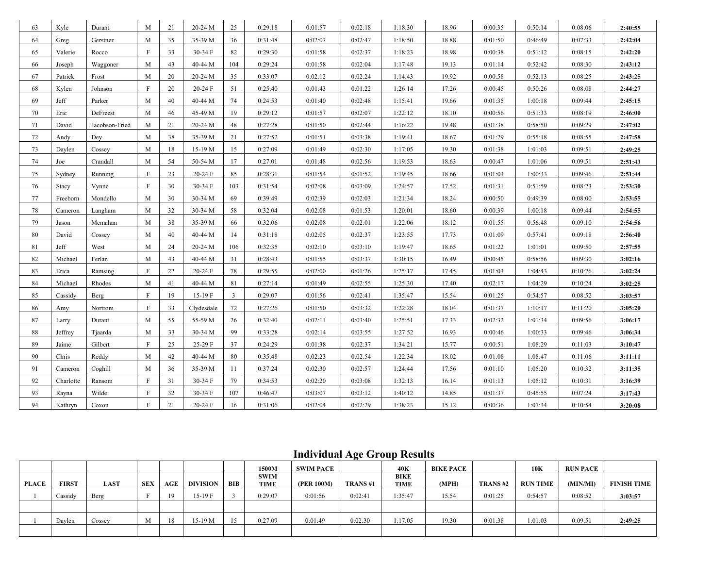| 63 | Kyle         | Durant         | M                         | 21 | 20-24 M    | 25  | 0:29:18 | 0:01:57 | 0:02:18 | 1:18:30 | 18.96 | 0:00:35 | 0:50:14 | 0:08:06 | 2:40:55 |
|----|--------------|----------------|---------------------------|----|------------|-----|---------|---------|---------|---------|-------|---------|---------|---------|---------|
| 64 | Greg         | Gerstner       | M                         | 35 | 35-39 M    | 36  | 0:31:48 | 0:02:07 | 0:02:47 | 1:18:50 | 18.88 | 0:01:50 | 0:46:49 | 0:07:33 | 2:42:04 |
| 65 | Valerie      | Rocco          | F                         | 33 | $30-34$ F  | 82  | 0:29:30 | 0:01:58 | 0:02:37 | 1:18:23 | 18.98 | 0:00:38 | 0:51:12 | 0:08:15 | 2:42:20 |
| 66 | Joseph       | Waggoner       | M                         | 43 | 40-44 M    | 104 | 0:29:24 | 0:01:58 | 0:02:04 | 1:17:48 | 19.13 | 0:01:14 | 0:52:42 | 0:08:30 | 2:43:12 |
| 67 | Patrick      | Frost          | M                         | 20 | 20-24 M    | 35  | 0:33:07 | 0:02:12 | 0:02:24 | 1:14:43 | 19.92 | 0:00:58 | 0:52:13 | 0:08:25 | 2:43:25 |
| 68 | Kylen        | Johnson        | F                         | 20 | 20-24 F    | 51  | 0:25:40 | 0:01:43 | 0:01:22 | 1:26:14 | 17.26 | 0:00:45 | 0:50:26 | 0:08:08 | 2:44:27 |
| 69 | Jeff         | Parker         | M                         | 40 | 40-44 M    | 74  | 0:24:53 | 0:01:40 | 0:02:48 | 1:15:41 | 19.66 | 0:01:35 | 1:00:18 | 0:09:44 | 2:45:15 |
| 70 | Eric         | DeFreest       | M                         | 46 | 45-49 M    | 19  | 0:29:12 | 0:01:57 | 0:02:07 | 1:22:12 | 18.10 | 0:00:56 | 0:51:33 | 0:08:19 | 2:46:00 |
| 71 | David        | Jacobson-Fried | M                         | 21 | 20-24 M    | 48  | 0:27:28 | 0:01:50 | 0:02:44 | 1:16:22 | 19.48 | 0:01:38 | 0:58:50 | 0:09:29 | 2:47:02 |
| 72 | Andy         | Dey            | M                         | 38 | 35-39 M    | 21  | 0:27:52 | 0:01:51 | 0:03:38 | 1:19:41 | 18.67 | 0:01:29 | 0:55:18 | 0:08:55 | 2:47:58 |
| 73 | Daylen       | Cossey         | M                         | 18 | 15-19 M    | 15  | 0:27:09 | 0:01:49 | 0:02:30 | 1:17:05 | 19.30 | 0:01:38 | 1:01:03 | 0:09:51 | 2:49:25 |
| 74 | Joe          | Crandall       | M                         | 54 | 50-54 M    | 17  | 0:27:01 | 0:01:48 | 0:02:56 | 1:19:53 | 18.63 | 0:00:47 | 1:01:06 | 0:09:51 | 2:51:43 |
| 75 | Sydney       | Running        | F                         | 23 | 20-24 F    | 85  | 0:28:31 | 0:01:54 | 0:01:52 | 1:19:45 | 18.66 | 0:01:03 | 1:00:33 | 0:09:46 | 2:51:44 |
| 76 | <b>Stacy</b> | Vynne          | F                         | 30 | 30-34 F    | 103 | 0:31:54 | 0:02:08 | 0:03:09 | 1:24:57 | 17.52 | 0:01:31 | 0:51:59 | 0:08:23 | 2:53:30 |
| 77 | Freeborn     | Mondello       | M                         | 30 | 30-34 M    | 69  | 0:39:49 | 0:02:39 | 0:02:03 | 1:21:34 | 18.24 | 0:00:50 | 0:49:39 | 0:08:00 | 2:53:55 |
| 78 | Cameron      | Langham        | M                         | 32 | 30-34 M    | 58  | 0:32:04 | 0:02:08 | 0:01:53 | 1:20:01 | 18.60 | 0:00:39 | 1:00:18 | 0:09:44 | 2:54:55 |
| 79 | Jason        | Mcmahan        | M                         | 38 | 35-39 M    | 66  | 0:32:06 | 0:02:08 | 0:02:01 | 1:22:06 | 18.12 | 0:01:55 | 0:56:48 | 0:09:10 | 2:54:56 |
| 80 | David        | Cossey         | M                         | 40 | 40-44 M    | 14  | 0:31:18 | 0:02:05 | 0:02:37 | 1:23:55 | 17.73 | 0:01:09 | 0:57:41 | 0:09:18 | 2:56:40 |
| 81 | Jeff         | West           | M                         | 24 | 20-24 M    | 106 | 0:32:35 | 0:02:10 | 0:03:10 | 1:19:47 | 18.65 | 0:01:22 | 1:01:01 | 0:09:50 | 2:57:55 |
| 82 | Michael      | Ferlan         | M                         | 43 | 40-44 M    | 31  | 0:28:43 | 0:01:55 | 0:03:37 | 1:30:15 | 16.49 | 0:00:45 | 0:58:56 | 0:09:30 | 3:02:16 |
| 83 | Erica        | Ramsing        | F                         | 22 | 20-24 F    | 78  | 0:29:55 | 0:02:00 | 0:01:26 | 1:25:17 | 17.45 | 0:01:03 | 1:04:43 | 0:10:26 | 3:02:24 |
| 84 | Michael      | Rhodes         | M                         | 41 | 40-44 M    | 81  | 0:27:14 | 0:01:49 | 0:02:55 | 1:25:30 | 17.40 | 0:02:17 | 1:04:29 | 0:10:24 | 3:02:25 |
| 85 | Cassidy      | Berg           | F                         | 19 | 15-19 F    | 3   | 0:29:07 | 0:01:56 | 0:02:41 | 1:35:47 | 15.54 | 0:01:25 | 0:54:57 | 0:08:52 | 3:03:57 |
| 86 | Amy          | Nortrom        | $\mathbf{F}$              | 33 | Clydesdale | 72  | 0:27:26 | 0:01:50 | 0:03:32 | 1:22:28 | 18.04 | 0:01:37 | 1:10:17 | 0:11:20 | 3:05:20 |
| 87 | Larry        | Durant         | M                         | 55 | 55-59 M    | 26  | 0:32:40 | 0:02:11 | 0:03:40 | 1:25:51 | 17.33 | 0:02:32 | 1:01:34 | 0:09:56 | 3:06:17 |
| 88 | Jeffrey      | Tjaarda        | M                         | 33 | 30-34 M    | 99  | 0:33:28 | 0:02:14 | 0:03:55 | 1:27:52 | 16.93 | 0:00:46 | 1:00:33 | 0:09:46 | 3:06:34 |
| 89 | Jaime        | Gilbert        | F                         | 25 | 25-29 F    | 37  | 0:24:29 | 0:01:38 | 0:02:37 | 1:34:21 | 15.77 | 0:00:51 | 1:08:29 | 0:11:03 | 3:10:47 |
| 90 | Chris        | Reddy          | M                         | 42 | 40-44 M    | 80  | 0:35:48 | 0:02:23 | 0:02:54 | 1:22:34 | 18.02 | 0:01:08 | 1:08:47 | 0:11:06 | 3:11:11 |
| 91 | Cameron      | Coghill        | M                         | 36 | 35-39 M    | -11 | 0:37:24 | 0:02:30 | 0:02:57 | 1:24:44 | 17.56 | 0:01:10 | 1:05:20 | 0:10:32 | 3:11:35 |
| 92 | Charlotte    | Ransom         | F                         | 31 | 30-34 F    | 79  | 0:34:53 | 0:02:20 | 0:03:08 | 1:32:13 | 16.14 | 0:01:13 | 1:05:12 | 0:10:31 | 3:16:39 |
| 93 | Rayna        | Wilde          | F                         | 32 | 30-34 F    | 107 | 0:46:47 | 0:03:07 | 0:03:12 | 1:40:12 | 14.85 | 0:01:37 | 0:45:55 | 0:07:24 | 3:17:43 |
| 94 | Kathryn      | Coxon          | $\boldsymbol{\mathrm{F}}$ | 21 | $20-24$ F  | 16  | 0:31:06 | 0:02:04 | 0:02:29 | 1:38:23 | 15.12 | 0:00:36 | 1:07:34 | 0:10:54 | 3:20:08 |

## **Individual Age Group Results**

|              |              |             |            |     |          |     | 1500M                      | SWIM PACE  |         | 40K                 | <b>BIKE PACE</b> |          | 10K             | <b>RUN PACE</b> |                    |
|--------------|--------------|-------------|------------|-----|----------|-----|----------------------------|------------|---------|---------------------|------------------|----------|-----------------|-----------------|--------------------|
| <b>PLACE</b> | <b>FIRST</b> | <b>LAST</b> | <b>SEX</b> | AGE | DIVISION | BIB | <b>SWIM</b><br><b>TIME</b> | (PER 100M) | TRANS#1 | <b>BIKE</b><br>TIME | (MPH)            | TRANS #2 | <b>RUN TIME</b> | (MIN/MI)        | <b>FINISH TIME</b> |
|              | Cassidy      | Berg        |            |     | $15-19F$ |     | 0:29:07                    | 0:01:56    | 0:02:41 | 1:35:47             | 15.54            | 0:01:25  | 0:54:57         | 0:08:52         | 3:03:57            |
|              |              |             |            |     |          |     |                            |            |         |                     |                  |          |                 |                 |                    |
|              | Davlen       | Cossey      | M          | 18  | 15-19 M  |     | 0:27:09                    | 0:01:49    | 0:02:30 | :17:05              | 19.30            | 0:01:38  | 1:01:03         | 0:09:51         | 2:49:25            |
|              |              |             |            |     |          |     |                            |            |         |                     |                  |          |                 |                 |                    |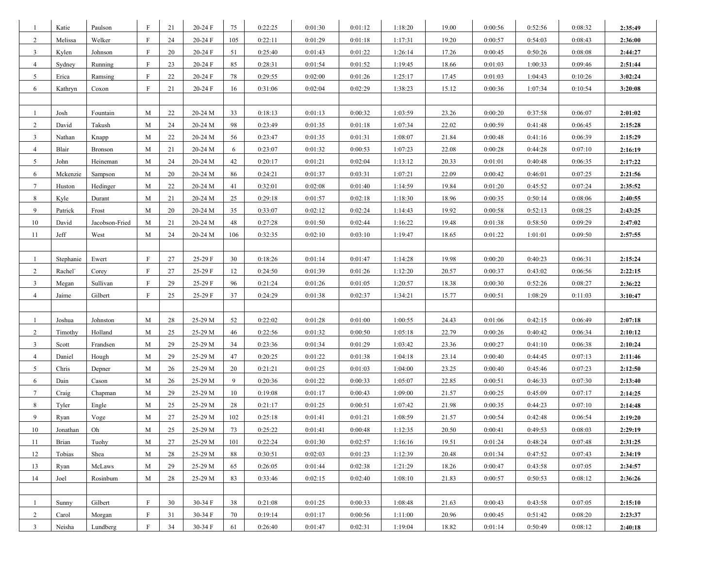| -1              | Katie     | Paulson        | F            | 21 | 20-24 F | 75  | 0:22:25 | 0:01:30 | 0:01:12 | 1:18:20 | 19.00 | 0:00:56 | 0:52:56 | 0:08:32 | 2:35:49 |
|-----------------|-----------|----------------|--------------|----|---------|-----|---------|---------|---------|---------|-------|---------|---------|---------|---------|
| $\overline{2}$  | Melissa   | Welker         | F            | 24 | 20-24 F | 105 | 0:22:11 | 0:01:29 | 0:01:18 | 1:17:31 | 19.20 | 0:00:57 | 0:54:03 | 0:08:43 | 2:36:00 |
| $\mathbf{3}$    | Kylen     | Johnson        | F            | 20 | 20-24 F | 51  | 0:25:40 | 0:01:43 | 0:01:22 | 1:26:14 | 17.26 | 0:00:45 | 0:50:26 | 0:08:08 | 2:44:27 |
| $\overline{4}$  | Sydney    | Running        | $\mathbf{F}$ | 23 | 20-24 F | 85  | 0:28:31 | 0:01:54 | 0:01:52 | 1:19:45 | 18.66 | 0:01:03 | 1:00:33 | 0:09:46 | 2:51:44 |
| 5               | Erica     | Ramsing        | F            | 22 | 20-24 F | 78  | 0:29:55 | 0:02:00 | 0:01:26 | 1:25:17 | 17.45 | 0:01:03 | 1:04:43 | 0:10:26 | 3:02:24 |
| 6               | Kathryn   | Coxon          | $\mathbf{F}$ | 21 | 20-24 F | 16  | 0:31:06 | 0:02:04 | 0:02:29 | 1:38:23 | 15.12 | 0:00:36 | 1:07:34 | 0:10:54 | 3:20:08 |
|                 |           |                |              |    |         |     |         |         |         |         |       |         |         |         |         |
| $\overline{1}$  | Josh      | Fountain       | M            | 22 | 20-24 M | 33  | 0:18:13 | 0:01:13 | 0:00:32 | 1:03:59 | 23.26 | 0:00:20 | 0:37:58 | 0:06:07 | 2:01:02 |
| 2               | David     | Takush         | M            | 24 | 20-24 M | 98  | 0:23:49 | 0:01:35 | 0:01:18 | 1:07:34 | 22.02 | 0:00:59 | 0:41:48 | 0:06:45 | 2:15:28 |
| $\mathbf{3}$    | Nathan    | Knapp          | M            | 22 | 20-24 M | 56  | 0:23:47 | 0:01:35 | 0:01:31 | 1:08:07 | 21.84 | 0:00:48 | 0:41:16 | 0:06:39 | 2:15:29 |
| $\overline{4}$  | Blair     | Bronson        | M            | 21 | 20-24 M | 6   | 0:23:07 | 0:01:32 | 0:00:53 | 1:07:23 | 22.08 | 0:00:28 | 0:44:28 | 0:07:10 | 2:16:19 |
| 5               | John      | Heineman       | M            | 24 | 20-24 M | 42  | 0:20:17 | 0:01:21 | 0:02:04 | 1:13:12 | 20.33 | 0:01:01 | 0:40:48 | 0:06:35 | 2:17:22 |
| 6               | Mckenzie  | Sampson        | M            | 20 | 20-24 M | 86  | 0:24:21 | 0:01:37 | 0:03:31 | 1:07:21 | 22.09 | 0:00:42 | 0:46:01 | 0:07:25 | 2:21:56 |
| $7\phantom{.0}$ | Huston    | Hedinger       | M            | 22 | 20-24 M | 41  | 0:32:01 | 0:02:08 | 0:01:40 | 1:14:59 | 19.84 | 0:01:20 | 0:45:52 | 0:07:24 | 2:35:52 |
| 8               | Kyle      | Durant         | M            | 21 | 20-24 M | 25  | 0:29:18 | 0:01:57 | 0:02:18 | 1:18:30 | 18.96 | 0:00:35 | 0:50:14 | 0:08:06 | 2:40:55 |
| 9               | Patrick   | Frost          | M            | 20 | 20-24 M | 35  | 0:33:07 | 0:02:12 | 0:02:24 | 1:14:43 | 19.92 | 0:00:58 | 0:52:13 | 0:08:25 | 2:43:25 |
| 10              | David     | Jacobson-Fried | M            | 21 | 20-24 M | 48  | 0:27:28 | 0:01:50 | 0:02:44 | 1:16:22 | 19.48 | 0:01:38 | 0:58:50 | 0:09:29 | 2:47:02 |
| 11              | Jeff      | West           | M            | 24 | 20-24 M | 106 | 0:32:35 | 0:02:10 | 0:03:10 | 1:19:47 | 18.65 | 0:01:22 | 1:01:01 | 0:09:50 | 2:57:55 |
|                 |           |                |              |    |         |     |         |         |         |         |       |         |         |         |         |
| -1              | Stephanie | Ewert          | F            | 27 | 25-29 F | 30  | 0:18:26 | 0:01:14 | 0:01:47 | 1:14:28 | 19.98 | 0:00:20 | 0:40:23 | 0:06:31 | 2:15:24 |
| $\overline{2}$  | Rachel'   | Corey          | $\rm F$      | 27 | 25-29 F | 12  | 0:24:50 | 0:01:39 | 0:01:26 | 1:12:20 | 20.57 | 0:00:37 | 0:43:02 | 0:06:56 | 2:22:15 |
| $\overline{3}$  | Megan     | Sullivan       | $\mathbf{F}$ | 29 | 25-29 F | 96  | 0:21:24 | 0:01:26 | 0:01:05 | 1:20:57 | 18.38 | 0:00:30 | 0:52:26 | 0:08:27 | 2:36:22 |
| $\overline{4}$  | Jaime     | Gilbert        | $\mathbf{F}$ | 25 | 25-29 F | 37  | 0:24:29 | 0:01:38 | 0:02:37 | 1:34:21 | 15.77 | 0:00:51 | 1:08:29 | 0:11:03 | 3:10:47 |
|                 |           |                |              |    |         |     |         |         |         |         |       |         |         |         |         |
| -1              | Joshua    | Johnston       | M            | 28 | 25-29 M | 52  | 0:22:02 | 0:01:28 | 0:01:00 | 1:00:55 | 24.43 | 0:01:06 | 0:42:15 | 0:06:49 | 2:07:18 |
| $\overline{2}$  | Timothy   | Holland        | M            | 25 | 25-29 M | 46  | 0:22:56 | 0:01:32 | 0:00:50 | 1:05:18 | 22.79 | 0:00:26 | 0:40:42 | 0:06:34 | 2:10:12 |
| $\overline{3}$  | Scott     | Frandsen       | M            | 29 | 25-29 M | 34  | 0:23:36 | 0:01:34 | 0:01:29 | 1:03:42 | 23.36 | 0:00:27 | 0:41:10 | 0:06:38 | 2:10:24 |
| $\overline{4}$  | Daniel    | Hough          | M            | 29 | 25-29 M | 47  | 0:20:25 | 0:01:22 | 0:01:38 | 1:04:18 | 23.14 | 0:00:40 | 0:44:45 | 0:07:13 | 2:11:46 |
| 5               | Chris     | Depner         | M            | 26 | 25-29 M | 20  | 0:21:21 | 0:01:25 | 0:01:03 | 1:04:00 | 23.25 | 0:00:40 | 0:45:46 | 0:07:23 | 2:12:50 |
| 6               | Dain      | Cason          | M            | 26 | 25-29 M | 9   | 0:20:36 | 0:01:22 | 0:00:33 | 1:05:07 | 22.85 | 0:00:51 | 0:46:33 | 0:07:30 | 2:13:40 |
| $7\overline{ }$ | Craig     | Chapman        | M            | 29 | 25-29 M | 10  | 0:19:08 | 0:01:17 | 0:00:43 | 1:09:00 | 21.57 | 0:00:25 | 0:45:09 | 0:07:17 | 2:14:25 |
| 8               | Tyler     | Engle          | M            | 25 | 25-29 M | 28  | 0:21:17 | 0:01:25 | 0:00:51 | 1:07:42 | 21.98 | 0:00:35 | 0:44:23 | 0:07:10 | 2:14:48 |
| $\overline{9}$  | Ryan      | Voge           | M            | 27 | 25-29 M | 102 | 0:25:18 | 0:01:41 | 0:01:21 | 1:08:59 | 21.57 | 0:00:54 | 0:42:48 | 0:06:54 | 2:19:20 |
| 10              | Jonathan  | Oh             | M            | 25 | 25-29 M | 73  | 0:25:22 | 0:01:41 | 0:00:48 | 1:12:35 | 20.50 | 0:00:41 | 0:49:53 | 0:08:03 | 2:29:19 |
| 11              | Brian     | Tuohy          | M            | 27 | 25-29 M | 101 | 0:22:24 | 0:01:30 | 0:02:57 | 1:16:16 | 19.51 | 0:01:24 | 0:48:24 | 0:07:48 | 2:31:25 |
| 12              | Tobias    | Shea           | M            | 28 | 25-29 M | 88  | 0:30:51 | 0:02:03 | 0:01:23 | 1:12:39 | 20.48 | 0:01:34 | 0:47:52 | 0:07:43 | 2:34:19 |
| 13              | Ryan      | McLaws         | M            | 29 | 25-29 M | 65  | 0:26:05 | 0:01:44 | 0:02:38 | 1:21:29 | 18.26 | 0:00:47 | 0:43:58 | 0:07:05 | 2:34:57 |
| 14              | Joel      | Rosinbum       | M            | 28 | 25-29 M | 83  | 0:33:46 | 0:02:15 | 0:02:40 | 1:08:10 | 21.83 | 0:00:57 | 0:50:53 | 0:08:12 | 2:36:26 |
|                 |           |                |              |    |         |     |         |         |         |         |       |         |         |         |         |
| $\overline{1}$  | Sunny     | Gilbert        | $\mathbf{F}$ | 30 | 30-34 F | 38  | 0:21:08 | 0:01:25 | 0:00:33 | 1:08:48 | 21.63 | 0:00:43 | 0:43:58 | 0:07:05 | 2:15:10 |
| $\overline{2}$  | Carol     | Morgan         | $\mathbf{F}$ | 31 | 30-34 F | 70  | 0:19:14 | 0:01:17 | 0:00:56 | 1:11:00 | 20.96 | 0:00:45 | 0:51:42 | 0:08:20 | 2:23:37 |
| $\overline{3}$  | Neisha    | Lundberg       | F            | 34 | 30-34 F | 61  | 0:26:40 | 0:01:47 | 0:02:31 | 1:19:04 | 18.82 | 0:01:14 | 0:50:49 | 0:08:12 | 2:40:18 |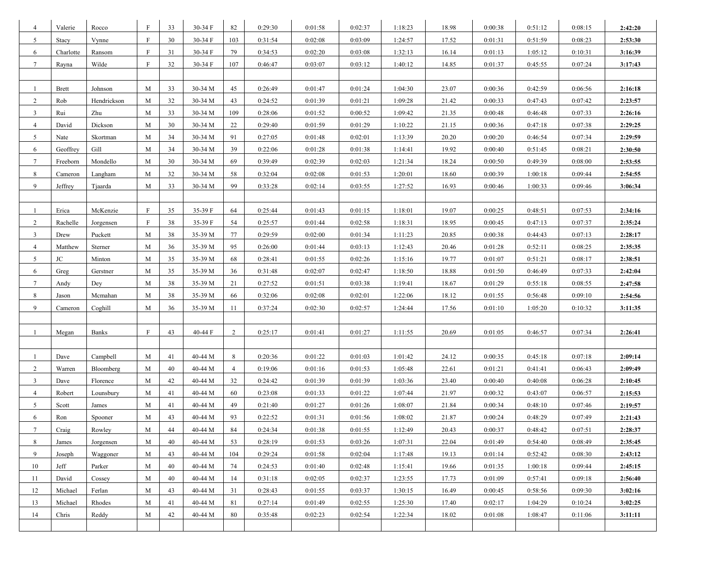| 4               | Valerie      | Rocco       | F            | 33 | 30-34 F | 82  | 0:29:30 | 0:01:58 | 0:02:37 | 1:18:23 | 18.98 | 0:00:38 | 0:51:12 | 0:08:15 | 2:42:20 |
|-----------------|--------------|-------------|--------------|----|---------|-----|---------|---------|---------|---------|-------|---------|---------|---------|---------|
| 5               | Stacy        | Vynne       | F            | 30 | 30-34 F | 103 | 0:31:54 | 0:02:08 | 0:03:09 | 1:24:57 | 17.52 | 0:01:31 | 0:51:59 | 0:08:23 | 2:53:30 |
| 6               | Charlotte    | Ransom      | F            | 31 | 30-34 F | 79  | 0:34:53 | 0:02:20 | 0:03:08 | 1:32:13 | 16.14 | 0:01:13 | 1:05:12 | 0:10:31 | 3:16:39 |
| $7\phantom{.0}$ | Rayna        | Wilde       | F            | 32 | 30-34 F | 107 | 0:46:47 | 0:03:07 | 0:03:12 | 1:40:12 | 14.85 | 0:01:37 | 0:45:55 | 0:07:24 | 3:17:43 |
|                 |              |             |              |    |         |     |         |         |         |         |       |         |         |         |         |
| -1              | <b>Brett</b> | Johnson     | M            | 33 | 30-34 M | 45  | 0:26:49 | 0:01:47 | 0:01:24 | 1:04:30 | 23.07 | 0:00:36 | 0:42:59 | 0:06:56 | 2:16:18 |
| $\overline{2}$  | Rob          | Hendrickson | M            | 32 | 30-34 M | 43  | 0:24:52 | 0:01:39 | 0:01:21 | 1:09:28 | 21.42 | 0:00:33 | 0:47:43 | 0:07:42 | 2:23:57 |
| $\overline{3}$  | Rui          | Zhu         | M            | 33 | 30-34 M | 109 | 0:28:06 | 0:01:52 | 0:00:52 | 1:09:42 | 21.35 | 0:00:48 | 0:46:48 | 0:07:33 | 2:26:16 |
| $\overline{4}$  | David        | Dickson     | M            | 30 | 30-34 M | 22  | 0:29:40 | 0:01:59 | 0:01:29 | 1:10:22 | 21.15 | 0:00:36 | 0:47:18 | 0:07:38 | 2:29:25 |
| 5               | Nate         | Skortman    | M            | 34 | 30-34 M | 91  | 0:27:05 | 0:01:48 | 0:02:01 | 1:13:39 | 20.20 | 0:00:20 | 0:46:54 | 0:07:34 | 2:29:59 |
| 6               | Geoffrey     | Gill        | M            | 34 | 30-34 M | 39  | 0:22:06 | 0:01:28 | 0:01:38 | 1:14:41 | 19.92 | 0:00:40 | 0:51:45 | 0:08:21 | 2:30:50 |
| $7\overline{ }$ | Freeborn     | Mondello    | M            | 30 | 30-34 M | 69  | 0:39:49 | 0:02:39 | 0:02:03 | 1:21:34 | 18.24 | 0:00:50 | 0:49:39 | 0:08:00 | 2:53:55 |
| 8               | Cameron      | Langham     | M            | 32 | 30-34 M | 58  | 0:32:04 | 0:02:08 | 0:01:53 | 1:20:01 | 18.60 | 0:00:39 | 1:00:18 | 0:09:44 | 2:54:55 |
| 9               | Jeffrey      | Tjaarda     | M            | 33 | 30-34 M | 99  | 0:33:28 | 0:02:14 | 0:03:55 | 1:27:52 | 16.93 | 0:00:46 | 1:00:33 | 0:09:46 | 3:06:34 |
|                 |              |             |              |    |         |     |         |         |         |         |       |         |         |         |         |
| $\overline{1}$  | Erica        | McKenzie    | $\mathbf{F}$ | 35 | 35-39 F | 64  | 0:25:44 | 0:01:43 | 0:01:15 | 1:18:01 | 19.07 | 0:00:25 | 0:48:51 | 0:07:53 | 2:34:16 |
| $\overline{2}$  | Rachelle     | Jorgensen   | $\mathbf{F}$ | 38 | 35-39 F | 54  | 0:25:57 | 0:01:44 | 0:02:58 | 1:18:31 | 18.95 | 0:00:45 | 0:47:13 | 0:07:37 | 2:35:24 |
| $\overline{3}$  | Drew         | Puckett     | M            | 38 | 35-39 M | 77  | 0:29:59 | 0:02:00 | 0:01:34 | 1:11:23 | 20.85 | 0:00:38 | 0:44:43 | 0:07:13 | 2:28:17 |
| $\overline{4}$  | Matthew      | Sterner     | M            | 36 | 35-39 M | 95  | 0:26:00 | 0:01:44 | 0:03:13 | 1:12:43 | 20.46 | 0:01:28 | 0:52:11 | 0:08:25 | 2:35:35 |
| 5               | JC           | Minton      | M            | 35 | 35-39 M | 68  | 0:28:41 | 0:01:55 | 0:02:26 | 1:15:16 | 19.77 | 0:01:07 | 0:51:21 | 0:08:17 | 2:38:51 |
| 6               | Greg         | Gerstner    | M            | 35 | 35-39 M | 36  | 0:31:48 | 0:02:07 | 0:02:47 | 1:18:50 | 18.88 | 0:01:50 | 0:46:49 | 0:07:33 | 2:42:04 |
| $\tau$          | Andy         | Dey         | M            | 38 | 35-39 M | 21  | 0:27:52 | 0:01:51 | 0:03:38 | 1:19:41 | 18.67 | 0:01:29 | 0:55:18 | 0:08:55 | 2:47:58 |
| 8               | Jason        | Mcmahan     | M            | 38 | 35-39 M | 66  | 0:32:06 | 0:02:08 | 0:02:01 | 1:22:06 | 18.12 | 0:01:55 | 0:56:48 | 0:09:10 | 2:54:56 |
| 9               | Cameron      | Coghill     | M            | 36 | 35-39 M | 11  | 0:37:24 | 0:02:30 | 0:02:57 | 1:24:44 | 17.56 | 0:01:10 | 1:05:20 | 0:10:32 | 3:11:35 |
|                 |              |             |              |    |         |     |         |         |         |         |       |         |         |         |         |
| 1               | Megan        | Banks       | F            | 43 | 40-44 F | 2   | 0:25:17 | 0:01:41 | 0:01:27 | 1:11:55 | 20.69 | 0:01:05 | 0:46:57 | 0:07:34 | 2:26:41 |
|                 |              |             |              |    |         |     |         |         |         |         |       |         |         |         |         |
| $\overline{1}$  | Dave         | Campbell    | M            | 41 | 40-44 M | 8   | 0:20:36 | 0:01:22 | 0:01:03 | 1:01:42 | 24.12 | 0:00:35 | 0:45:18 | 0:07:18 | 2:09:14 |
| $\overline{2}$  | Warren       | Bloomberg   | M            | 40 | 40-44 M | 4   | 0:19:06 | 0:01:16 | 0:01:53 | 1:05:48 | 22.61 | 0:01:21 | 0:41:41 | 0:06:43 | 2:09:49 |
| $\mathbf{3}$    | Dave         | Florence    | M            | 42 | 40-44 M | 32  | 0:24:42 | 0:01:39 | 0:01:39 | 1:03:36 | 23.40 | 0:00:40 | 0:40:08 | 0:06:28 | 2:10:45 |
| $\overline{4}$  | Robert       | Lounsbury   | M            | 41 | 40-44 M | 60  | 0:23:08 | 0:01:33 | 0:01:22 | 1:07:44 | 21.97 | 0:00:32 | 0:43:07 | 0:06:57 | 2:15:53 |
| 5               | Scott        | James       | M            | 41 | 40-44 M | 49  | 0:21:40 | 0:01:27 | 0:01:26 | 1:08:07 | 21.84 | 0:00:34 | 0:48:10 | 0:07:46 | 2:19:57 |
| 6               | Ron          | Spooner     | M            | 43 | 40-44 M | 93  | 0:22:52 | 0:01:31 | 0:01:56 | 1:08:02 | 21.87 | 0:00:24 | 0:48:29 | 0:07:49 | 2:21:43 |
| 7               | Craig        | Rowley      | M            | 44 | 40-44 M | 84  | 0:24:34 | 0:01:38 | 0:01:55 | 1:12:49 | 20.43 | 0:00:37 | 0:48:42 | 0:07:51 | 2:28:37 |
| 8               | James        | Jorgensen   | M            | 40 | 40-44 M | 53  | 0:28:19 | 0:01:53 | 0:03:26 | 1:07:31 | 22.04 | 0:01:49 | 0:54:40 | 0:08:49 | 2:35:45 |
| 9               | Joseph       | Waggoner    | M            | 43 | 40-44 M | 104 | 0:29:24 | 0:01:58 | 0:02:04 | 1:17:48 | 19.13 | 0:01:14 | 0:52:42 | 0:08:30 | 2:43:12 |
| 10              | Jeff         | Parker      | M            | 40 | 40-44 M | 74  | 0:24:53 | 0:01:40 | 0:02:48 | 1:15:41 | 19.66 | 0:01:35 | 1:00:18 | 0:09:44 | 2:45:15 |
| 11              | David        | Cossey      | M            | 40 | 40-44 M | 14  | 0:31:18 | 0:02:05 | 0:02:37 | 1:23:55 | 17.73 | 0:01:09 | 0:57:41 | 0:09:18 | 2:56:40 |
| 12              | Michael      | Ferlan      | M            | 43 | 40-44 M | 31  | 0:28:43 | 0:01:55 | 0:03:37 | 1:30:15 | 16.49 | 0:00:45 | 0:58:56 | 0:09:30 | 3:02:16 |
| 13              | Michael      | Rhodes      | M            | 41 | 40-44 M | 81  | 0:27:14 | 0:01:49 | 0:02:55 | 1:25:30 | 17.40 | 0:02:17 | 1:04:29 | 0:10:24 | 3:02:25 |
| 14              | Chris        | Reddy       | M            | 42 | 40-44 M | 80  | 0:35:48 | 0:02:23 | 0:02:54 | 1:22:34 | 18.02 | 0:01:08 | 1:08:47 | 0:11:06 | 3:11:11 |
|                 |              |             |              |    |         |     |         |         |         |         |       |         |         |         |         |